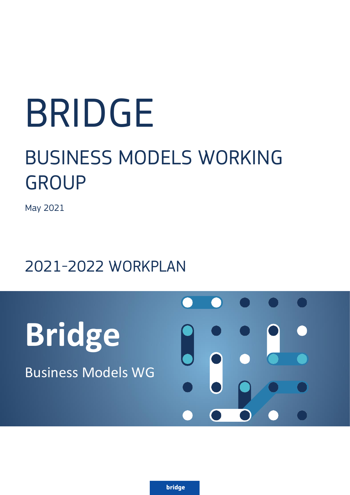# BRIDGE

# BUSINESS MODELS WORKING GROUP

May 2021

# 2021-2022 WORKPLAN

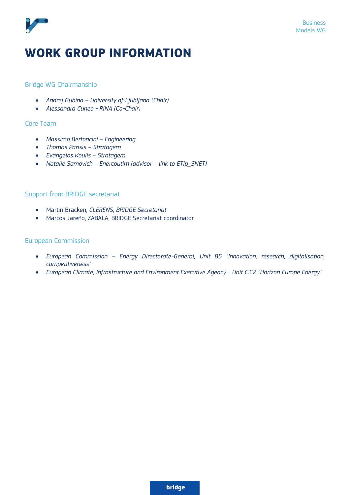

# **WORK GROUP INFORMATION**

#### Bridge WG Chairmanship

- *Andrej Gubina – University of Ljubljana (Chair)*
- *Alessandra Cuneo - RINA (Co-Chair)*

#### Core Team

- *Massimo Bertoncini – Engineering*
- *Thomas Parisis – Stratagem*
- *Evangelos Koulis – Stratagem*
- *Natalie Samovich – Enercoutim (advisor – link to ETIp\_SNET)*

#### Support from BRIDGE secretariat

- Martin Bracken, *CLERENS, BRIDGE Secretariat*
- Marcos Jareño, ZABALA, BRIDGE Secretariat coordinator

#### European Commission

- *European Commission – Energy Directorate-General, Unit B5 "Innovation, research, digitalisation, competitiveness"*
- *European Climate, Infrastructure and Environment Executive Agency - Unit C.C2 "Horizon Europe Energy"*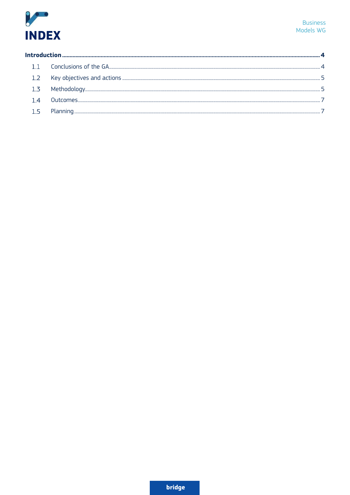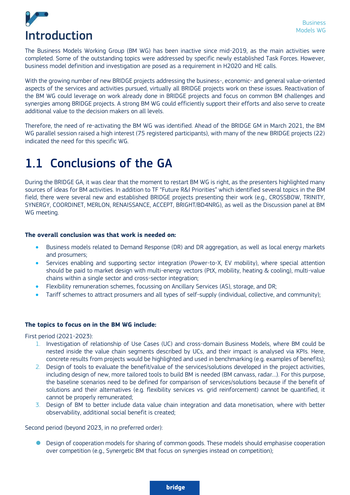<span id="page-3-0"></span>

The Business Models Working Group (BM WG) has been inactive since mid-2019, as the main activities were completed. Some of the outstanding topics were addressed by specific newly established Task Forces. However, business model definition and investigation are posed as a requirement in H2020 and HE calls.

With the growing number of new BRIDGE projects addressing the business-, economic- and general value-oriented aspects of the services and activities pursued, virtually all BRIDGE projects work on these issues. Reactivation of the BM WG could leverage on work already done in BRIDGE projects and focus on common BM challenges and synergies among BRIDGE projects. A strong BM WG could efficiently support their efforts and also serve to create additional value to the decision makers on all levels.

Therefore, the need of re-activating the BM WG was identified. Ahead of the BRIDGE GM in March 2021, the BM WG parallel session raised a high interest (75 registered participants), with many of the new BRIDGE projects (22) indicated the need for this specific WG.

### <span id="page-3-1"></span>1.1 Conclusions of the GA

During the BRIDGE GA, it was clear that the moment to restart BM WG is right, as the presenters highlighted many sources of ideas for BM activities. In addition to TF "Future R&I Priorities" which identified several topics in the BM field, there were several new and established BRIDGE projects presenting their work (e.g., CROSSBOW, TRINITY, SYNERGY, COORDINET, MERLON, RENAISSANCE, ACCEPT, BRIGHT/BD4NRG), as well as the Discussion panel at BM WG meeting.

#### **The overall conclusion was that work is needed on:**

- Business models related to Demand Response (DR) and DR aggregation, as well as local energy markets and prosumers;
- Services enabling and supporting sector integration (Power-to-X, EV mobility), where special attention should be paid to market design with multi-energy vectors (PtX, mobility, heating & cooling), multi-value chains within a single sector and cross-sector integration;
- Flexibility remuneration schemes, focussing on Ancillary Services (AS), storage, and DR;
- Tariff schemes to attract prosumers and all types of self-supply (individual, collective, and community);

#### **The topics to focus on in the BM WG include:**

First period (2021-2023):

- 1. Investigation of relationship of Use Cases (UC) and cross-domain Business Models, where BM could be nested inside the value chain segments described by UCs, and their impact is analysed via KPIs. Here, concrete results from projects would be highlighted and used in benchmarking (e.g. examples of benefits);
- 2. Design of tools to evaluate the benefit/value of the services/solutions developed in the project activities, including design of new, more tailored tools to build BM is needed (BM canvass, radar…). For this purpose, the baseline scenarios need to be defined for comparison of services/solutions because if the benefit of solutions and their alternatives (e.g. flexibility services vs. grid reinforcement) cannot be quantified, it cannot be properly remunerated;
- 3. Design of BM to better include data value chain integration and data monetisation, where with better observability, additional social benefit is created;

Second period (beyond 2023, in no preferred order):

Design of cooperation models for sharing of common goods. These models should emphasise cooperation over competition (e.g., Synergetic BM that focus on synergies instead on competition);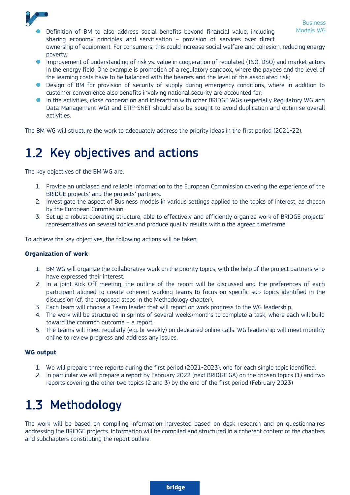

- Definition of BM to also address social benefits beyond financial value, including Models WG sharing economy principles and servitisation – provision of services over direct ownership of equipment. For consumers, this could increase social welfare and cohesion, reducing energy
- poverty; Improvement of understanding of risk vs. value in cooperation of regulated (TSO, DSO) and market actors in the energy field. One example is promotion of a regulatory sandbox, where the payees and the level of the learning costs have to be balanced with the bearers and the level of the associated risk;
- Design of BM for provision of security of supply during emergency conditions, where in addition to customer convenience also benefits involving national security are accounted for;
- In the activities, close cooperation and interaction with other BRIDGE WGs (especially Regulatory WG and Data Management WG) and ETIP-SNET should also be sought to avoid duplication and optimise overall activities.

The BM WG will structure the work to adequately address the priority ideas in the first period (2021-22).

# <span id="page-4-0"></span>1.2 Key objectives and actions

The key objectives of the BM WG are:

- 1. Provide an unbiased and reliable information to the European Commission covering the experience of the BRIDGE projects' and the projects' partners.
- 2. Investigate the aspect of Business models in various settings applied to the topics of interest, as chosen by the European Commission.
- 3. Set up a robust operating structure, able to effectively and efficiently organize work of BRIDGE projects' representatives on several topics and produce quality results within the agreed timeframe.

To achieve the key objectives, the following actions will be taken:

#### **Organization of work**

- 1. BM WG will organize the collaborative work on the priority topics, with the help of the project partners who have expressed their interest.
- 2. In a joint Kick Off meeting, the outline of the report will be discussed and the preferences of each participant aligned to create coherent working teams to focus on specific sub-topics identified in the discussion (cf. the proposed steps in the Methodology chapter).
- 3. Each team will choose a Team leader that will report on work progress to the WG leadership.
- 4. The work will be structured in sprints of several weeks/months to complete a task, where each will build toward the common outcome – a report.
- 5. The teams will meet regularly (e.g. bi-weekly) on dedicated online calls. WG leadership will meet monthly online to review progress and address any issues.

#### **WG output**

- 1. We will prepare three reports during the first period (2021-2023), one for each single topic identified.
- 2. In particular we will prepare a report by February 2022 (next BRIDGE GA) on the chosen topics (1) and two reports covering the other two topics (2 and 3) by the end of the first period (February 2023)

# <span id="page-4-1"></span>1.3 Methodology

The work will be based on compiling information harvested based on desk research and on questionnaires addressing the BRIDGE projects. Information will be compiled and structured in a coherent content of the chapters and subchapters constituting the report outline.

**bridge**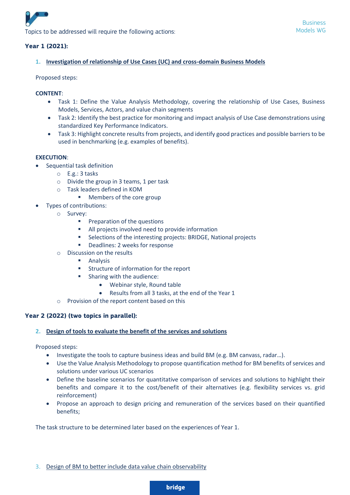

#### **Year 1 (2021):**

#### **1. Investigation of relationship of Use Cases (UC) and cross-domain Business Models**

Proposed steps:

#### **CONTENT**:

- Task 1: Define the Value Analysis Methodology, covering the relationship of Use Cases, Business Models, Services, Actors, and value chain segments
- Task 2: Identify the best practice for monitoring and impact analysis of Use Case demonstrations using standardized Key Performance Indicators.
- Task 3: Highlight concrete results from projects, and identify good practices and possible barriers to be used in benchmarking (e.g. examples of benefits).

#### **EXECUTION**:

- Sequential task definition
	- o E.g.: 3 tasks
	- $\circ$  Divide the group in 3 teams, 1 per task
	- o Task leaders defined in KOM
		- Members of the core group
	- Types of contributions:
		- o Survey:
			- Preparation of the questions
			- All projects involved need to provide information
			- Selections of the interesting projects: BRIDGE, National projects
			- Deadlines: 2 weeks for response
		- o Discussion on the results
			- Analysis
			- Structure of information for the report
			- Sharing with the audience:
				- Webinar style, Round table
				- Results from all 3 tasks, at the end of the Year 1
		- o Provision of the report content based on this

#### **Year 2 (2022) (two topics in parallel):**

#### **2. Design of tools to evaluate the benefit of the services and solutions**

Proposed steps:

- Investigate the tools to capture business ideas and build BM (e.g. BM canvass, radar…).
- Use the Value Analysis Methodology to propose quantification method for BM benefits of services and solutions under various UC scenarios
- Define the baseline scenarios for quantitative comparison of services and solutions to highlight their benefits and compare it to the cost/benefit of their alternatives (e.g. flexibility services vs. grid reinforcement)
- Propose an approach to design pricing and remuneration of the services based on their quantified benefits;

The task structure to be determined later based on the experiences of Year 1.

3. Design of BM to better include data value chain observability

**bridge**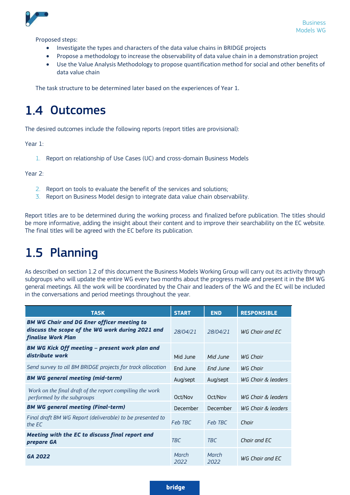

Proposed steps:

- Investigate the types and characters of the data value chains in BRIDGE projects
- Propose a methodology to increase the observability of data value chain in a demonstration project
- Use the Value Analysis Methodology to propose quantification method for social and other benefits of data value chain

The task structure to be determined later based on the experiences of Year 1.

## <span id="page-6-0"></span>1.4 Outcomes

The desired outcomes include the following reports (report titles are provisional):

Year 1:

1. Report on relationship of Use Cases (UC) and cross-domain Business Models

Year 2:

- 2. Report on tools to evaluate the benefit of the services and solutions;
- 3. Report on Business Model design to integrate data value chain observability.

Report titles are to be determined during the working process and finalized before publication. The titles should be more informative, adding the insight about their content and to improve their searchability on the EC website. The final titles will be agreed with the EC before its publication.

## <span id="page-6-1"></span>1.5 Planning

As described on section 1.2 of this document the Business Models Working Group will carry out its activity through subgroups who will update the entire WG every two months about the progress made and present it in the BM WG general meetings. All the work will be coordinated by the Chair and leaders of the WG and the EC will be included in the conversations and period meetings throughout the year.

| <b>TASK</b>                                                                                                                 | <b>START</b>    | <b>END</b>    | <b>RESPONSIBLE</b> |
|-----------------------------------------------------------------------------------------------------------------------------|-----------------|---------------|--------------------|
| <b>BM WG Chair and DG Ener officer meeting to</b><br>discuss the scope of the WG work during 2021 and<br>finalise Work Plan | 28/04/21        | 28/04/21      | WG Chair and EC    |
| <b>BM WG Kick Off meeting - present work plan and</b><br>distribute work                                                    | Mid June        | Mid lune      | WG Chair           |
| Send survey to all BM BRIDGE projects for track allocation                                                                  | End June        | End June      | WG Chair           |
| <b>BM WG general meeting (mid-term)</b>                                                                                     | Aug/sept        | Aug/sept      | WG Chair & leaders |
| Work on the final draft of the report compiling the work<br>performed by the subgroups                                      | Oct/Nov         | Oct/Nov       | WG Chair & leaders |
| <b>BM WG general meeting (Final-term)</b>                                                                                   | <b>December</b> | December      | WG Chair & leaders |
| Final draft BM WG Report (deliverable) to be presented to<br>the EC                                                         | Feb TBC         | Feb TBC       | Chair              |
| Meeting with the EC to discuss final report and<br>prepare GA                                                               | TBC             | <b>TRC</b>    | Chair and EC       |
| GA 2022                                                                                                                     | March<br>2022   | March<br>2022 | WG Chair and EC    |